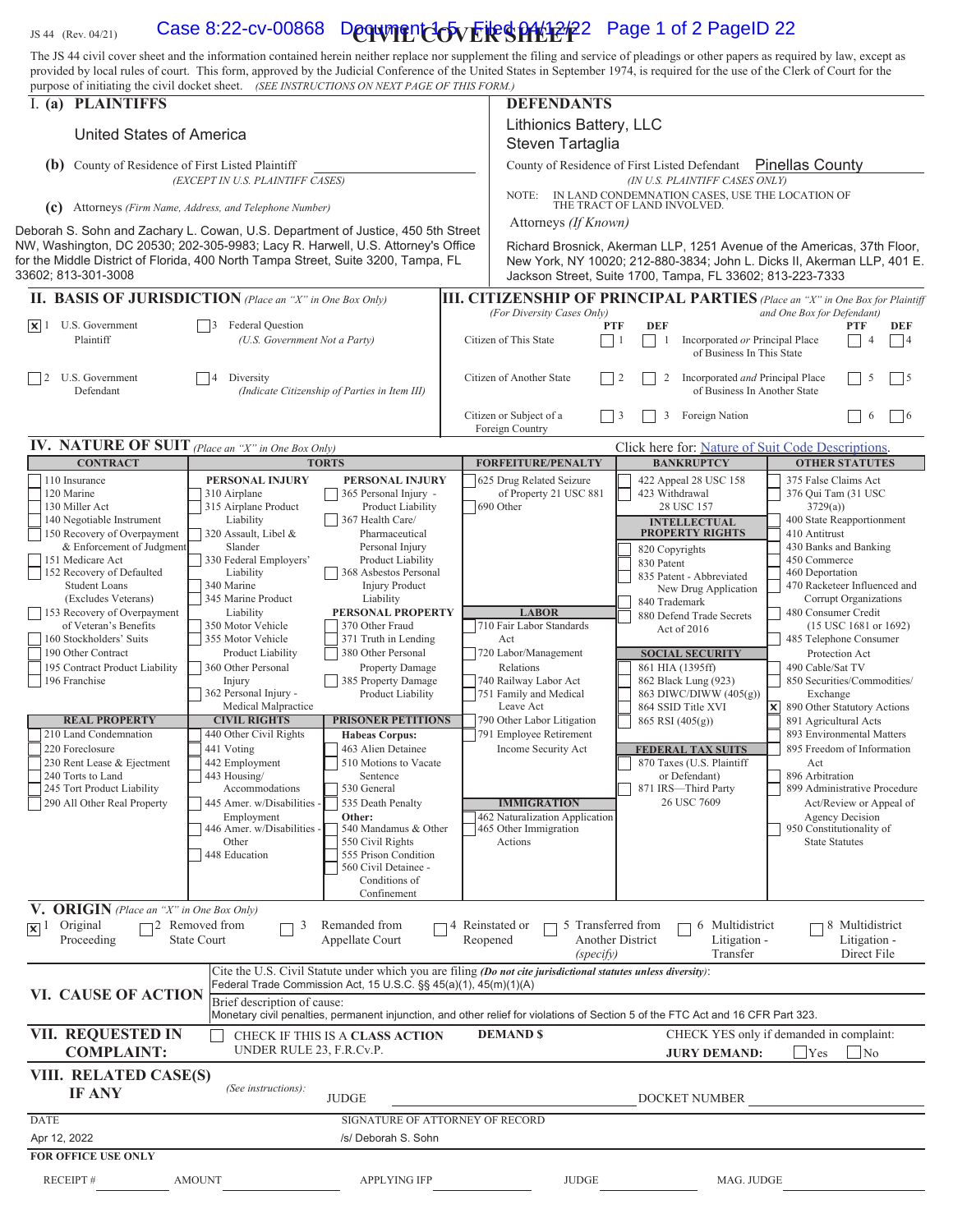## JS 44 (Rev. 04/21) Case 8:22-cv-00868 Downent 4-5 File \$PHtP2<sup>2</sup> Page 1 of 2 PageID 22

The JS 44 civil cover sheet and the information contained herein neither replace nor supplement the filing and service of pleadings or other papers as required by law, except as provided by local rules of court. This form, approved by the Judicial Conference of the United States in September 1974, is required for the use of the Clerk of Court for the purpose of initiating the civil docket sheet. *(SEE INSTRUCTIONS ON NEXT PAGE OF THIS FORM.)* 

| purpose of minaling the civil docket sheet. (SEE INSTRUCTIONS ON NEXT PAGE OF THIS FORM.)                                                                                                   |                                                                                              |                                                                                                     |  |                                                                                                                                                                                                                 |                                                                                                                                  |                                                                                                      |  |
|---------------------------------------------------------------------------------------------------------------------------------------------------------------------------------------------|----------------------------------------------------------------------------------------------|-----------------------------------------------------------------------------------------------------|--|-----------------------------------------------------------------------------------------------------------------------------------------------------------------------------------------------------------------|----------------------------------------------------------------------------------------------------------------------------------|------------------------------------------------------------------------------------------------------|--|
| I. (a) PLAINTIFFS                                                                                                                                                                           |                                                                                              |                                                                                                     |  | <b>DEFENDANTS</b>                                                                                                                                                                                               |                                                                                                                                  |                                                                                                      |  |
|                                                                                                                                                                                             | United States of America                                                                     |                                                                                                     |  |                                                                                                                                                                                                                 | Lithionics Battery, LLC<br>Steven Tartaglia                                                                                      |                                                                                                      |  |
|                                                                                                                                                                                             | <b>(b)</b> County of Residence of First Listed Plaintiff                                     |                                                                                                     |  | <b>Pinellas County</b><br>County of Residence of First Listed Defendant                                                                                                                                         |                                                                                                                                  |                                                                                                      |  |
|                                                                                                                                                                                             | (EXCEPT IN U.S. PLAINTIFF CASES)                                                             |                                                                                                     |  |                                                                                                                                                                                                                 | (IN U.S. PLAINTIFF CASES ONLY)<br>IN LAND CONDEMNATION CASES, USE THE LOCATION OF<br>NOTE:                                       |                                                                                                      |  |
| (c) Attorneys (Firm Name, Address, and Telephone Number)                                                                                                                                    |                                                                                              |                                                                                                     |  | THE TRACT OF LAND INVOLVED.                                                                                                                                                                                     |                                                                                                                                  |                                                                                                      |  |
| Deborah S. Sohn and Zachary L. Cowan, U.S. Department of Justice, 450 5th Street                                                                                                            |                                                                                              |                                                                                                     |  | Attorneys (If Known)                                                                                                                                                                                            |                                                                                                                                  |                                                                                                      |  |
| NW, Washington, DC 20530; 202-305-9983; Lacy R. Harwell, U.S. Attorney's Office<br>for the Middle District of Florida, 400 North Tampa Street, Suite 3200, Tampa, FL<br>33602: 813-301-3008 |                                                                                              |                                                                                                     |  | Richard Brosnick, Akerman LLP, 1251 Avenue of the Americas, 37th Floor,<br>New York, NY 10020; 212-880-3834; John L. Dicks II, Akerman LLP, 401 E.<br>Jackson Street, Suite 1700, Tampa, FL 33602; 813-223-7333 |                                                                                                                                  |                                                                                                      |  |
| <b>II. BASIS OF JURISDICTION</b> (Place an "X" in One Box Only)                                                                                                                             |                                                                                              |                                                                                                     |  |                                                                                                                                                                                                                 |                                                                                                                                  | <b>III. CITIZENSHIP OF PRINCIPAL PARTIES</b> (Place an "X" in One Box for Plaintiff                  |  |
|                                                                                                                                                                                             |                                                                                              |                                                                                                     |  | (For Diversity Cases Only)                                                                                                                                                                                      |                                                                                                                                  | and One Box for Defendant)                                                                           |  |
| U.S. Government<br>$ \mathbf{x} $ 1<br>Plaintiff                                                                                                                                            | Federal Question<br>$\vert$   3<br>(U.S. Government Not a Party)                             |                                                                                                     |  | Citizen of This State                                                                                                                                                                                           | <b>DEF</b><br><b>PTF</b><br>$\vert$ 1<br>$\Box$<br>Incorporated or Principal Place<br>-1<br>of Business In This State            | PTF<br><b>DEF</b><br> 4<br>$\overline{4}$                                                            |  |
| U.S. Government<br>Defendant                                                                                                                                                                | 4<br>Diversity                                                                               | (Indicate Citizenship of Parties in Item III)                                                       |  | Citizen of Another State                                                                                                                                                                                        | Incorporated and Principal Place<br>2<br>of Business In Another State                                                            | 5<br>$\overline{5}$                                                                                  |  |
|                                                                                                                                                                                             |                                                                                              |                                                                                                     |  | Citizen or Subject of a<br>Foreign Country                                                                                                                                                                      | Foreign Nation<br>3                                                                                                              | 6<br> 6                                                                                              |  |
| <b>IV.</b> NATURE OF SUIT (Place an "X" in One Box Only)                                                                                                                                    |                                                                                              |                                                                                                     |  |                                                                                                                                                                                                                 | Click here for: Nature of Suit Code Descriptions.                                                                                |                                                                                                      |  |
| <b>CONTRACT</b>                                                                                                                                                                             | <b>TORTS</b>                                                                                 |                                                                                                     |  | <b>FORFEITURE/PENALTY</b>                                                                                                                                                                                       | <b>BANKRUPTCY</b>                                                                                                                | <b>OTHER STATUTES</b>                                                                                |  |
| 110 Insurance<br>120 Marine<br>130 Miller Act<br>140 Negotiable Instrument<br>150 Recovery of Overpayment                                                                                   | PERSONAL INJURY<br>310 Airplane<br>315 Airplane Product<br>Liability<br>320 Assault, Libel & | PERSONAL INJURY<br>365 Personal Injury -<br>Product Liability<br>367 Health Care/<br>Pharmaceutical |  | 625 Drug Related Seizure<br>of Property 21 USC 881<br>690 Other                                                                                                                                                 | 422 Appeal 28 USC 158<br>423 Withdrawal<br>28 USC 157<br><b>INTELLECTUAL</b><br><b>PROPERTY RIGHTS</b>                           | 375 False Claims Act<br>376 Qui Tam (31 USC<br>3729(a)<br>400 State Reapportionment<br>410 Antitrust |  |
| & Enforcement of Judgment<br>151 Medicare Act<br>152 Recovery of Defaulted<br><b>Student Loans</b>                                                                                          | Slander<br>330 Federal Employers'<br>Liability<br>340 Marine                                 | Personal Injury<br>Product Liability<br>368 Asbestos Personal<br><b>Injury Product</b>              |  |                                                                                                                                                                                                                 | 820 Copyrights<br>830 Patent<br>835 Patent - Abbreviated<br>New Drug Application                                                 | 430 Banks and Banking<br>450 Commerce<br>460 Deportation<br>470 Racketeer Influenced and             |  |
| (Excludes Veterans)<br>153 Recovery of Overpayment<br>of Veteran's Benefits<br>160 Stockholders' Suits                                                                                      | 345 Marine Product<br>Liability<br>350 Motor Vehicle<br>355 Motor Vehicle                    | Liability<br>PERSONAL PROPERTY<br>370 Other Fraud<br>371 Truth in Lending                           |  | <b>LABOR</b><br>710 Fair Labor Standards<br>Act                                                                                                                                                                 | 840 Trademark<br>880 Defend Trade Secrets<br>Act of 2016                                                                         | Corrupt Organizations<br>480 Consumer Credit<br>(15 USC 1681 or 1692)<br>485 Telephone Consumer      |  |
| 190 Other Contract                                                                                                                                                                          | Product Liability                                                                            | 380 Other Personal                                                                                  |  | 720 Labor/Management                                                                                                                                                                                            | <b>SOCIAL SECURITY</b>                                                                                                           | Protection Act                                                                                       |  |
| 195 Contract Product Liability<br>196 Franchise                                                                                                                                             | 360 Other Personal                                                                           | Property Damage                                                                                     |  | Relations<br>740 Railway Labor Act                                                                                                                                                                              | 861 HIA (1395ff)<br>862 Black Lung (923)                                                                                         | 490 Cable/Sat TV<br>850 Securities/Commodities/                                                      |  |
|                                                                                                                                                                                             | Injury<br>362 Personal Injury -                                                              | 385 Property Damage<br>Product Liability                                                            |  | 751 Family and Medical                                                                                                                                                                                          | 863 DIWC/DIWW (405(g))                                                                                                           | Exchange                                                                                             |  |
| <b>REAL PROPERTY</b>                                                                                                                                                                        | Medical Malpractice<br><b>CIVIL RIGHTS</b>                                                   | <b>PRISONER PETITIONS</b>                                                                           |  | Leave Act<br>790 Other Labor Litigation                                                                                                                                                                         | 864 SSID Title XVI                                                                                                               | $\vert x \vert$<br>890 Other Statutory Actions                                                       |  |
| 210 Land Condemnation                                                                                                                                                                       | 440 Other Civil Rights                                                                       | <b>Habeas Corpus:</b>                                                                               |  | 791 Employee Retirement                                                                                                                                                                                         | 865 RSI (405(g))                                                                                                                 | 891 Agricultural Acts<br>893 Environmental Matters                                                   |  |
| 220 Foreclosure                                                                                                                                                                             | 441 Voting                                                                                   | 463 Alien Detainee                                                                                  |  | Income Security Act                                                                                                                                                                                             | <b>FEDERAL TAX SUITS</b>                                                                                                         | 895 Freedom of Information                                                                           |  |
| 230 Rent Lease & Ejectment<br>240 Torts to Land                                                                                                                                             | 442 Employment<br>443 Housing/                                                               | 510 Motions to Vacate<br>Sentence                                                                   |  |                                                                                                                                                                                                                 | 870 Taxes (U.S. Plaintiff<br>or Defendant)                                                                                       | Act<br>896 Arbitration                                                                               |  |
| 245 Tort Product Liability                                                                                                                                                                  | Accommodations                                                                               | 530 General                                                                                         |  |                                                                                                                                                                                                                 | 871 IRS-Third Party                                                                                                              | 899 Administrative Procedure                                                                         |  |
| 290 All Other Real Property                                                                                                                                                                 | 445 Amer. w/Disabilities -                                                                   | 535 Death Penalty                                                                                   |  | <b>IMMIGRATION</b>                                                                                                                                                                                              | 26 USC 7609                                                                                                                      | Act/Review or Appeal of                                                                              |  |
|                                                                                                                                                                                             | Employment<br>446 Amer. w/Disabilities -                                                     | Other:<br>540 Mandamus & Other                                                                      |  | 462 Naturalization Application<br>465 Other Immigration                                                                                                                                                         |                                                                                                                                  | Agency Decision<br>950 Constitutionality of                                                          |  |
|                                                                                                                                                                                             | Other                                                                                        | 550 Civil Rights                                                                                    |  | Actions                                                                                                                                                                                                         |                                                                                                                                  | <b>State Statutes</b>                                                                                |  |
|                                                                                                                                                                                             | 448 Education                                                                                | 555 Prison Condition<br>560 Civil Detainee -<br>Conditions of                                       |  |                                                                                                                                                                                                                 |                                                                                                                                  |                                                                                                      |  |
|                                                                                                                                                                                             |                                                                                              | Confinement                                                                                         |  |                                                                                                                                                                                                                 |                                                                                                                                  |                                                                                                      |  |
| V. ORIGIN (Place an "X" in One Box Only)<br>Original<br>$\mathbf{X}$ <sup>1</sup><br>Proceeding                                                                                             | $\Box$ 2 Removed from<br>3<br><b>State Court</b>                                             | Remanded from<br>Appellate Court                                                                    |  | 4 Reinstated or<br>Reopened<br>(specify)                                                                                                                                                                        | 5 Transferred from<br>6 Multidistrict<br><b>Another District</b><br>Litigation -<br>Transfer                                     | 8 Multidistrict<br>Litigation -<br>Direct File                                                       |  |
|                                                                                                                                                                                             |                                                                                              |                                                                                                     |  | Cite the U.S. Civil Statute under which you are filing (Do not cite jurisdictional statutes unless diversity):                                                                                                  |                                                                                                                                  |                                                                                                      |  |
| VI. CAUSE OF ACTION                                                                                                                                                                         |                                                                                              | Federal Trade Commission Act, 15 U.S.C. §§ 45(a)(1), 45(m)(1)(A)                                    |  |                                                                                                                                                                                                                 |                                                                                                                                  |                                                                                                      |  |
|                                                                                                                                                                                             | Brief description of cause:                                                                  |                                                                                                     |  |                                                                                                                                                                                                                 | Monetary civil penalties, permanent injunction, and other relief for violations of Section 5 of the FTC Act and 16 CFR Part 323. |                                                                                                      |  |
| VII. REQUESTED IN<br><b>COMPLAINT:</b>                                                                                                                                                      | UNDER RULE 23, F.R.Cv.P.                                                                     | CHECK IF THIS IS A CLASS ACTION                                                                     |  | <b>DEMAND \$</b>                                                                                                                                                                                                | <b>JURY DEMAND:</b>                                                                                                              | CHECK YES only if demanded in complaint:<br>Yes<br>$\overline{\rm No}$                               |  |
| VIII. RELATED CASE(S)<br><b>IF ANY</b>                                                                                                                                                      | (See instructions):                                                                          | <b>JUDGE</b>                                                                                        |  |                                                                                                                                                                                                                 | DOCKET NUMBER                                                                                                                    |                                                                                                      |  |
|                                                                                                                                                                                             |                                                                                              |                                                                                                     |  |                                                                                                                                                                                                                 |                                                                                                                                  |                                                                                                      |  |
| <b>DATE</b><br>Apr 12, 2022                                                                                                                                                                 | SIGNATURE OF ATTORNEY OF RECORD<br>/s/ Deborah S. Sohn                                       |                                                                                                     |  |                                                                                                                                                                                                                 |                                                                                                                                  |                                                                                                      |  |
| FOR OFFICE USE ONLY                                                                                                                                                                         |                                                                                              |                                                                                                     |  |                                                                                                                                                                                                                 |                                                                                                                                  |                                                                                                      |  |
| RECEIPT#                                                                                                                                                                                    | <b>AMOUNT</b>                                                                                | <b>APPLYING IFP</b>                                                                                 |  | <b>JUDGE</b>                                                                                                                                                                                                    | MAG. JUDGE                                                                                                                       |                                                                                                      |  |
|                                                                                                                                                                                             |                                                                                              |                                                                                                     |  |                                                                                                                                                                                                                 |                                                                                                                                  |                                                                                                      |  |